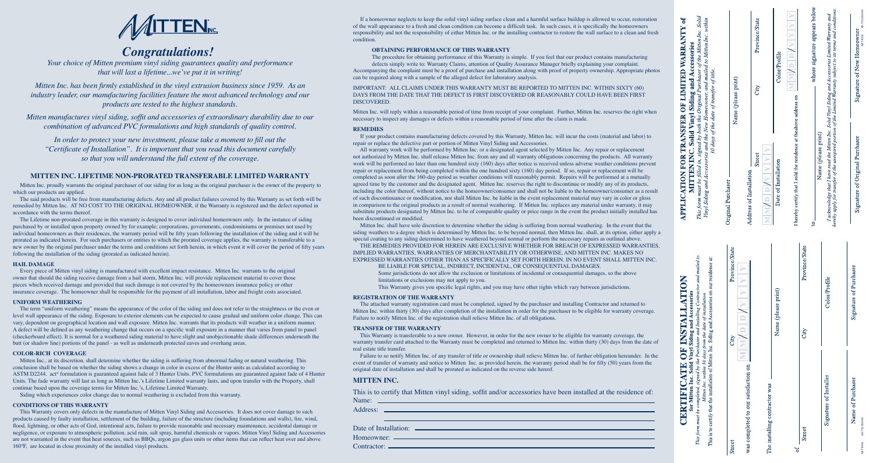# **MITTEN INC. LIFETIME NON-PRORATED TRANSFERABLE LIMITED WARRANTY**

 Mitten Inc. proudly warrants the original purchaser of our siding for as long as the original purchaser is the owner of the property to which our products are applied.

 The said products will be free from manufacturing defects. Any and all product failures covered by this Warranty as set forth will be remedied by Mitten Inc. AT NO COST TO THE ORIGINAL HOMEOWNER, if the Warranty is registered and the defect reported in accordance with the terms thereof.

 The Lifetime non-prorated coverage in this warranty is designed to cover individual homeowners only. In the instance of siding purchased by or installed upon property owned by for example; corporations, governments, condominiums or premises not used by individual homeowners as their residences, the warranty period will be fifty years following the installation of the siding and it will be prorated as indicated herein. For such purchasers or entities to which the prorated coverage applies, the warranty is transferable to a new owner by the original purchaser under the terms and conditions set forth herein, in which event it will cover the period of fifty years following the installation of the siding (prorated as indicated herein).

### **HAIL DAMAGE**

 Every piece of Mitten vinyl siding is manufactured with excellent impact resistance. Mitten Inc. warrants to the original owner that should the siding receive damage from a hail storm, Mitten Inc. will provide replacement material to cover those pieces which received damage and provided that such damage is not covered by the homeowners insurance policy or other insurance coverage. The homeowner shall be responsible for the payment of all installation, labor and freight costs associated.

### **UNIFORM WEATHERING**

 The term "uniform weathering" means the appearance of the color of the siding and does not refer to the straightness or the even or level wall appearance of the siding. Exposure to exterior elements can be expected to cause gradual and uniform color change. This can vary, dependent on geographical location and wall exposure. Mitten Inc. warrants that its products will weather in a uniform manner. A defect will be defined as any weathering change that occurs on a specific wall exposure in a manner that varies from panel to panel (checkerboard effect). It is normal for a weathered siding material to have slight and unobjectionable shade differences underneath the butt (or shadow line) portions of the panel - as well as underneath protected eaves and overhang areas.

### **COLOR-RICH COVERAGE**

 Mitten Inc., at its discretion, shall determine whether the siding is suffering from abnormal fading or natural weathering. This conclusion shall be based on whether the siding shows a change in color in excess of the Hunter units as calculated according to ASTM D2244. act ® formulation is guaranteed against fade of 3 Hunter Units. PVC formulations are guaranteed against fade of 4 Hunter Units. The fade warranty will last as long as Mitten Inc.'s Lifetime Limited warranty lasts, and upon transfer with the Property, shall continue based upon the coverage terms for Mitten Inc.'s, Lifetime Limited Warranty.

Siding which experiences color change due to normal weathering is excluded from this warranty.

### **CONDITIONS OF THIS WARRANTY**

 This Warranty covers only defects in the manufacture of Mitten Vinyl Siding and Accessories. It does not cover damage to such products caused by faulty installation, settlement of the building, failure of the structure (including foundations and walls), fire, wind, flood, lightning, or other acts of God, intentional acts, failure to provide reasonable and necessary maintenance, accidental damage or negligence, or exposure to atmospheric pollution, acid rain, salt spray, harmful chemicals or vapors. Mitten Vinyl Siding and Accessories are not warranted in the event that heat sources, such as BBQs, argon gas glass units or other items that can reflect heat over and above 160ºF, are located in close proximity of the installed vinyl products.

| If a homeowner neglects to keep the solid vinyl siding surface clean and a harmful surface buildup is allowed to occur, restoration<br>of the wall appearance to a fresh and clean condition can become a difficult task. In such cases, it is specifically the homeowners<br>responsibility and not the responsibility of either Mitten Inc. or the installing contractor to restore the wall surface to a clean and fresh<br>condition.<br><b>OBTAINING PERFORMANCE OF THIS WARRANTY</b><br>The procedure for obtaining performance of this Warranty is simple. If you feel that our product contains manufacturing<br>defects simply write to: Warranty Claims, attention of Quality Assurance Manager briefly explaining your complaint.<br>Accompanying the complaint must be a proof of purchase and installation along with proof of property ownership. Appropriate photos<br>can be required along with a sample of the alleged defect for laboratory analysis.<br>IMPORTANT: ALL CLAIMS UNDER THIS WARRANTY MUST BE REPORTED TO MITTEN INC. WITHIN SIXTY (60)<br>DAYS FROM THE DATE THAT THE DEFECT IS FIRST DISCOVERED OR REASONABLY COULD HAVE BEEN FIRST                                                                                                                                                                                                                                                                                                                                                                                                                                                                                                                                                                                                                                                                         | Solid<br>ð<br>within<br>OF LIMITED WARRANTY<br>signed by both the Original Purchaser of the Mitten Inc.<br>to Mitten Inc.<br>Solid Vinyl Siding and Accessories | Name (please print) | Province/State<br>City               | Color/Profile                                | $\mathbf{r}$<br>$\mathbf{r}$<br>Σ<br>E                                | whose signature appears below<br>and Accessories Limited Warranty and<br>rranty subject to its terms and condition                                     | 49-710-000-<br>Signature of New Homeowner |
|-----------------------------------------------------------------------------------------------------------------------------------------------------------------------------------------------------------------------------------------------------------------------------------------------------------------------------------------------------------------------------------------------------------------------------------------------------------------------------------------------------------------------------------------------------------------------------------------------------------------------------------------------------------------------------------------------------------------------------------------------------------------------------------------------------------------------------------------------------------------------------------------------------------------------------------------------------------------------------------------------------------------------------------------------------------------------------------------------------------------------------------------------------------------------------------------------------------------------------------------------------------------------------------------------------------------------------------------------------------------------------------------------------------------------------------------------------------------------------------------------------------------------------------------------------------------------------------------------------------------------------------------------------------------------------------------------------------------------------------------------------------------------------------------------------------------------------------------------|-----------------------------------------------------------------------------------------------------------------------------------------------------------------|---------------------|--------------------------------------|----------------------------------------------|-----------------------------------------------------------------------|--------------------------------------------------------------------------------------------------------------------------------------------------------|-------------------------------------------|
| <b>DISCOVERED.</b><br>Mitten Inc. will reply within a reasonable period of time from receipt of your complaint. Further, Mitten Inc. reserves the right when<br>necessary to inspect any damages or defects within a reasonable period of time after the claim is made.<br><b>REMEDIES</b><br>If your product contains manufacturing defects covered by this Warranty, Mitten Inc. will incur the costs (material and labor) to<br>repair or replace the defective part or portion of Mitten Vinyl Siding and Accessories.                                                                                                                                                                                                                                                                                                                                                                                                                                                                                                                                                                                                                                                                                                                                                                                                                                                                                                                                                                                                                                                                                                                                                                                                                                                                                                                    | and the New Homeowner, and mailed<br>30 days of the date of transfer of title.<br><b>RANSFER</b>                                                                |                     |                                      |                                              |                                                                       | Vinyl Siding c<br>e Limited War<br>unexpired portion                                                                                                   |                                           |
| All warranty work will be performed by Mitten Inc. or a designated agent selected by Mitten Inc. Any repair or replacement<br>not authorized by Mitten Inc. shall release Mitten Inc. from any and all warranty obligations concerning the products. All warranty<br>work will be performed no later than one hundred sixty (160) days after notice is received unless adverse weather conditions prevent<br>repair or replacement from being completed within the one hundred sixty (160) day period. If so, repair or replacement will be<br>completed as soon after the 160-day period as weather conditions will reasonably permit. Repairs will be performed at a mutually<br>agreed time by the customer and the designated agent. Mitten Inc. reserves the right to discontinue or modify any of its products,<br>including the color thereof, without notice to the homeowner/consumer and shall not be liable to the homeowner/consumer as a result<br>of such discontinuance or modification, nor shall Mitten Inc. be liable in the event replacement material may vary in color or gloss<br>in comparison to the original products as a result of normal weathering. If Mitten Inc. replaces any material under warranty, it may<br>substitute products designated by Mitten Inc. to be of comparable quality or price range in the event the product initially installed has<br>been discontinued or modified.<br>Mitten Inc. shall have sole discretion to determine whether the siding is suffering from normal weathering. In the event that the<br>siding weathers to a degree which is determined by Mitten Inc. to be beyond normal, then Mitten Inc. shall, at its option, either apply a<br>special coating to any siding determined to have weathered beyond normal or perform the necessary repairs as outlined above. | MITTEN INC.<br>Vinyl Siding and Accessories<br><b>APPLICATION FOR</b><br>This form must be filled in,                                                           | Original Purchaser  | Street<br>Address of Installation    | Date of Installation<br>$\mathbf{r}$<br>MMMD | I hereby certify that I sold the residence at the<br>above address on | acknowledge that I have read the Mitten Inc.<br>by apply for transfer of the unexpired portion<br>Name (please print)<br>hereby apply.<br>$\mathbf{S}$ | Signature of Original Purchasen           |
| THE REMEDIES PROVIDED FOR HEREIN ARE EXCLUSIVE WHETHER FOR BREACH OF EXPRESSED WARRANTIES,<br>IMPLIED WARRANTIES, WARRANTIES OF MERCHANTABILITY OR OTHERWISE, AND MITTEN INC. MAKES NO<br>EXPRESSED WARRANTIES OTHER THAN AS SPECIFICALLY SET FORTH HEREIN. IN NO EVENT SHALL MITTEN INC.<br>BE LIABLE FOR SPECIAL, INDIRECT, INCIDENTAL, OR CONSEQUENTIAL DAMAGES.<br>Some jurisdictions do not allow the exclusion or limitations of incidental or consequential damages, so the above<br>limitations or exclusions may not apply to you.<br>This Warranty gives you specific legal rights, and you may have other rights which vary between jurisdictions.<br><b>REGISTRATION OF THE WARRANTY</b><br>The attached warranty registration card must be completed, signed by the purchaser and installing Contractor and returned to<br>Mitten Inc. within thirty (30) days after completion of the installation in order for the purchaser to be eligible for warranty coverage.<br>Failure to notify Mitten Inc. of the registration shall relieve Mitten Inc. of all obligations.                                                                                                                                                                                                                                                                                                                                                                                                                                                                                                                                                                                                                                                                                                                                                          | nstalling Contractor and mailed to<br>Accessories on our residence at:<br>TION<br><b>nd Accessories</b><br>of installation                                      | Province/State      |                                      | e (please print)                             | Province/State                                                        | Color/Profile                                                                                                                                          | of Purchaser<br>Signature                 |
| <b>TRANSFER OF THE WARRANTY</b><br>This Warranty is transferable to a new owner. However, in order for the new owner to be eligible for warranty coverage, the<br>warranty transfer card attached to the Warranty must be completed and returned to Mitten Inc. within thirty (30) days from the date of<br>real estate title transfer.<br>Failure to so notify Mitten Inc. of any transfer of title or ownership shall relieve Mitten Inc. of further obligation hereunder. In the<br>event of transfer of warranty and notice to Mitten Inc. as provided herein, the warranty period shall be for fifty (50) years from the<br>original date of installation and shall be prorated as indicated on the reverse side hereof.                                                                                                                                                                                                                                                                                                                                                                                                                                                                                                                                                                                                                                                                                                                                                                                                                                                                                                                                                                                                                                                                                                                 | Mitten Inc. within 30 days from the dation of Mitten Inc. Siding at<br>Vinyl Siding a<br>signed by the Purchaser and<br><b>END</b><br>5<br>$\mathbf{E}$         | ≘<br>$\equiv$       |                                      | Nam                                          | City                                                                  |                                                                                                                                                        |                                           |
| <b>MITTEN INC.</b><br>This is to certify that Mitten vinyl siding, soffit and/or accessories have been installed at the residence of:                                                                                                                                                                                                                                                                                                                                                                                                                                                                                                                                                                                                                                                                                                                                                                                                                                                                                                                                                                                                                                                                                                                                                                                                                                                                                                                                                                                                                                                                                                                                                                                                                                                                                                         | Inc. Solid<br>for Mitten<br>CERTIFI                                                                                                                             |                     |                                      | was                                          |                                                                       | Signature of Installer                                                                                                                                 | Name of Purchaser                         |
|                                                                                                                                                                                                                                                                                                                                                                                                                                                                                                                                                                                                                                                                                                                                                                                                                                                                                                                                                                                                                                                                                                                                                                                                                                                                                                                                                                                                                                                                                                                                                                                                                                                                                                                                                                                                                                               | This form must be completed,<br>This                                                                                                                            | <b>Street</b>       | was completed to our satisfaction on | contractor<br>installing<br>The              | Street                                                                |                                                                                                                                                        | 19-710-000-00                             |

| If a homeowner neglects to keep the solid vinyl siding surface clean and a harmful surface buildup is allowed to occur, restoration<br>of the wall appearance to a fresh and clean condition can become a difficult task. In such cases, it is specifically the homeowners<br>esponsibility and not the responsibility of either Mitten Inc. or the installing contractor to restore the wall surface to a clean and fresh<br>ondition.<br><b>OBTAINING PERFORMANCE OF THIS WARRANTY</b><br>The procedure for obtaining performance of this Warranty is simple. If you feel that our product contains manufacturing<br>defects simply write to: Warranty Claims, attention of Quality Assurance Manager briefly explaining your complaint.<br>Accompanying the complaint must be a proof of purchase and installation along with proof of property ownership. Appropriate photos<br>an be required along with a sample of the alleged defect for laboratory analysis.                                                                                                                                                                                                                                                                                                                                                                                                                                                                                                                                                                                                                                                                                                                                                                                                                                                                                                                                                                                                                                                                                     | Solid<br><b>LIMITED WARRANTY of</b><br>Iпс.<br>to Mitten Inc.<br><b>Accessories</b>                                                                                                                                                             |                        | Province/State                                        |                               | Color/Profile           | $\Rightarrow$<br>$\Rightarrow$<br>⋝                                   | whose signature appears below | Warranty and<br>s and conditions<br>Tinyl Siding and Accessories Limited Warr<br>Limited Warranty subject to its terms and                 | Signature of New Homeowner      |
|-----------------------------------------------------------------------------------------------------------------------------------------------------------------------------------------------------------------------------------------------------------------------------------------------------------------------------------------------------------------------------------------------------------------------------------------------------------------------------------------------------------------------------------------------------------------------------------------------------------------------------------------------------------------------------------------------------------------------------------------------------------------------------------------------------------------------------------------------------------------------------------------------------------------------------------------------------------------------------------------------------------------------------------------------------------------------------------------------------------------------------------------------------------------------------------------------------------------------------------------------------------------------------------------------------------------------------------------------------------------------------------------------------------------------------------------------------------------------------------------------------------------------------------------------------------------------------------------------------------------------------------------------------------------------------------------------------------------------------------------------------------------------------------------------------------------------------------------------------------------------------------------------------------------------------------------------------------------------------------------------------------------------------------------------------------|-------------------------------------------------------------------------------------------------------------------------------------------------------------------------------------------------------------------------------------------------|------------------------|-------------------------------------------------------|-------------------------------|-------------------------|-----------------------------------------------------------------------|-------------------------------|--------------------------------------------------------------------------------------------------------------------------------------------|---------------------------------|
| MPORTANT: ALL CLAIMS UNDER THIS WARRANTY MUST BE REPORTED TO MITTEN INC. WITHIN SIXTY (60)<br>)AYS FROM THE DATE THAT THE DEFECT IS FIRST DISCOVERED OR REASONABLY COULD HAVE BEEN FIRST<br>DISCOVERED.<br>Aitten Inc. will reply within a reasonable period of time from receipt of your complaint. Further, Mitten Inc. reserves the right when                                                                                                                                                                                                                                                                                                                                                                                                                                                                                                                                                                                                                                                                                                                                                                                                                                                                                                                                                                                                                                                                                                                                                                                                                                                                                                                                                                                                                                                                                                                                                                                                                                                                                                         | and<br>Homeowner, and<br>Original<br>Sidin                                                                                                                                                                                                      | Name (please print)    |                                                       | $\mathrm{City}$               |                         | Σ                                                                     |                               |                                                                                                                                            |                                 |
| ecessary to inspect any damages or defects within a reasonable period of time after the claim is made.<br>REMEDIES<br>If your product contains manufacturing defects covered by this Warranty, Mitten Inc. will incur the costs (material and labor) to<br>epair or replace the defective part or portion of Mitten Vinyl Siding and Accessories.<br>All warranty work will be performed by Mitten Inc. or a designated agent selected by Mitten Inc. Any repair or replacement<br>ot authorized by Mitten Inc. shall release Mitten Inc. from any and all warranty obligations concerning the products. All warranty<br>vork will be performed no later than one hundred sixty (160) days after notice is received unless adverse weather conditions prevent<br>epair or replacement from being completed within the one hundred sixty (160) day period. If so, repair or replacement will be<br>ompleted as soon after the 160-day period as weather conditions will reasonably permit. Repairs will be performed at a mutually<br>greed time by the customer and the designated agent. Mitten Inc. reserves the right to discontinue or modify any of its products,<br>ncluding the color thereof, without notice to the homeowner/consumer and shall not be liable to the homeowner/consumer as a result<br>of such discontinuance or modification, nor shall Mitten Inc. be liable in the event replacement material may vary in color or gloss<br>n comparison to the original products as a result of normal weathering. If Mitten Inc. replaces any material under warranty, it may<br>ubstitute products designated by Mitten Inc. to be of comparable quality or price range in the event the product initially installed has<br>een discontinued or modified.<br>Mitten Inc. shall have sole discretion to determine whether the siding is suffering from normal weathering. In the event that the<br>iding weathers to a degree which is determined by Mitten Inc. to be beyond normal, then Mitten Inc. shall, at its option, either apply a | days of the date of transfer of title.<br>Vinyl<br>by both the<br>TRANSFER<br>and the New<br><b>Solid</b><br>signed<br>This form must be filled in, stg<br>Finyl Siding and Accessories<br><b>FOR</b><br><b>NITTEN IN</b><br><b>APPLICATION</b> | Original Purchaser     | <b>Street</b><br>Address of Installation              | $\Rightarrow$<br>NN<br>M<br>Σ | Date of Installation    | I hereby certify that I sold the residence at the<br>above address on | S.                            | <i>e</i> that I have read the Mitten Inc.<br>transfer of the unexpired portion<br>Name (please print)<br>I acknowledge<br>hereby apply for | Signature of Original Purchaser |
| pecial coating to any siding determined to have weathered beyond normal or perform the necessary repairs as outlined above.<br>THE REMEDIES PROVIDED FOR HEREIN ARE EXCLUSIVE WHETHER FOR BREACH OF EXPRESSED WARRANTIES,<br>MPLIED WARRANTIES, WARRANTIES OF MERCHANTABILITY OR OTHERWISE, AND MITTEN INC. MAKES NO<br>XPRESSED WARRANTIES OTHER THAN AS SPECIFICALLY SET FORTH HEREIN. IN NO EVENT SHALL MITTEN INC.<br>BE LIABLE FOR SPECIAL, INDIRECT, INCIDENTAL, OR CONSEQUENTIAL DAMAGES.<br>Some jurisdictions do not allow the exclusion or limitations of incidental or consequential damages, so the above<br>limitations or exclusions may not apply to you.<br>This Warranty gives you specific legal rights, and you may have other rights which vary between jurisdictions.<br><b>REGISTRATION OF THE WARRANTY</b><br>The attached warranty registration card must be completed, signed by the purchaser and installing Contractor and returned to<br>Aitten Inc. within thirty (30) days after completion of the installation in order for the purchaser to be eligible for warranty coverage.<br>Failure to notify Mitten Inc. of the registration shall relieve Mitten Inc. of all obligations.<br>TRANSFER OF THE WARRANTY<br>This Warranty is transferable to a new owner. However, in order for the new owner to be eligible for warranty coverage, the<br>varranty transfer card attached to the Warranty must be completed and returned to Mitten Inc. within thirty (30) days from the date of                                                                                                                                                                                                                                                                                                                                                                                                                                                                                                                                    |                                                                                                                                                                                                                                                 | Province/State<br>City | $\Rightarrow$                                         |                               | e (please print)<br>Nam | Province/State<br>City                                                |                               | Color/Profile                                                                                                                              | Signature of Purchaser          |
| eal estate title transfer.<br>Failure to so notify Mitten Inc. of any transfer of title or ownership shall relieve Mitten Inc. of further obligation hereunder. In the<br>vent of transfer of warranty and notice to Mitten Inc. as provided herein, the warranty period shall be for fifty (50) years from the<br>riginal date of installation and shall be prorated as indicated on the reverse side hereof.<br><b>MITTEN INC.</b><br>This is to certify that Mitten vinyl siding, soffit and/or accessories have been installed at the residence of:<br>$Name:$ $ _______$<br><u> 1989 - Andrea Santa Andrea Andrea Andrea Andrea Andrea Andrea Andrea Andrea Andrea Andrea Andrea Andrea Andr</u>                                                                                                                                                                                                                                                                                                                                                                                                                                                                                                                                                                                                                                                                                                                                                                                                                                                                                                                                                                                                                                                                                                                                                                                                                                                                                                                                                     | <b>CERTIFICATE OF INSTALLATION</b><br>This form must be completed, signed by the Purchaser and Installing Contractor and mailed to<br>This is to certify that the installation of Mitten Inc. Siding and Accessories<br>This is to certify      | Street                 | $\equiv$<br>≧<br>was completed to our satisfaction on | The installing contractor was |                         | <b>Street</b>                                                         |                               | Signature of Installer                                                                                                                     | Name of Purchaser               |



# *Congratulations!*

*Your choice of Mitten premium vinyl siding guarantees quality and performance that will last a lifetime...we've put it in writing!*

*Mitten Inc. has been firmly established in the vinyl extrusion business since 1959. As an industry leader, our manufacturing facilities feature the most advanced technology and our products are tested to the highest standards.*

*Mitten manufactures vinyl siding, soffit and accessories of extraordinary durability due to our combination of advanced PVC formulations and high standards of quality control.*

*In order to protect your new investment, please take a moment to fill out the "Certificate of Installation". It is important that you read this document carefully so that you will understand the full extent of the coverage.*